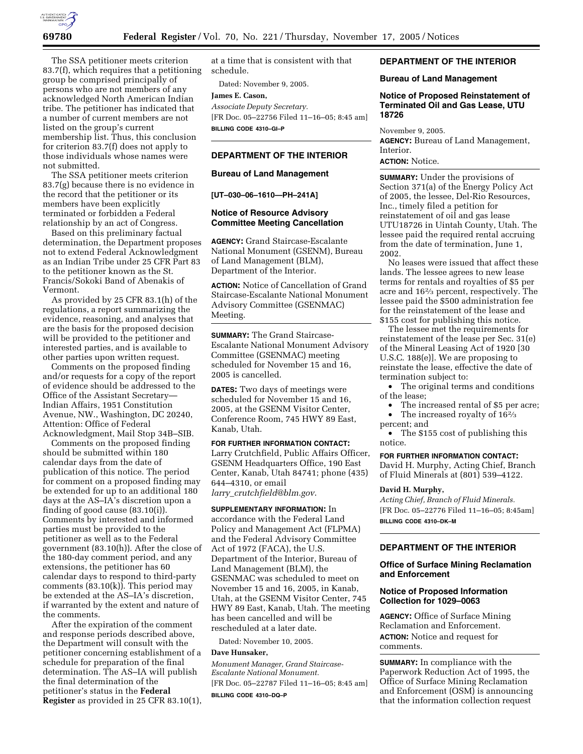

The SSA petitioner meets criterion 83.7(f), which requires that a petitioning group be comprised principally of persons who are not members of any acknowledged North American Indian tribe. The petitioner has indicated that a number of current members are not listed on the group's current membership list. Thus, this conclusion for criterion 83.7(f) does not apply to those individuals whose names were not submitted.

The SSA petitioner meets criterion 83.7(g) because there is no evidence in the record that the petitioner or its members have been explicitly terminated or forbidden a Federal relationship by an act of Congress.

Based on this preliminary factual determination, the Department proposes not to extend Federal Acknowledgment as an Indian Tribe under 25 CFR Part 83 to the petitioner known as the St. Francis/Sokoki Band of Abenakis of Vermont.

As provided by 25 CFR 83.1(h) of the regulations, a report summarizing the evidence, reasoning, and analyses that are the basis for the proposed decision will be provided to the petitioner and interested parties, and is available to other parties upon written request.

Comments on the proposed finding and/or requests for a copy of the report of evidence should be addressed to the Office of the Assistant Secretary— Indian Affairs, 1951 Constitution Avenue, NW., Washington, DC 20240, Attention: Office of Federal Acknowledgment, Mail Stop 34B–SIB.

Comments on the proposed finding should be submitted within 180 calendar days from the date of publication of this notice. The period for comment on a proposed finding may be extended for up to an additional 180 days at the AS–IA's discretion upon a finding of good cause (83.10(i)). Comments by interested and informed parties must be provided to the petitioner as well as to the Federal government (83.10(h)). After the close of the 180-day comment period, and any extensions, the petitioner has 60 calendar days to respond to third-party comments (83.10(k)). This period may be extended at the AS–IA's discretion, if warranted by the extent and nature of the comments.

After the expiration of the comment and response periods described above, the Department will consult with the petitioner concerning establishment of a schedule for preparation of the final determination. The AS–IA will publish the final determination of the petitioner's status in the **Federal Register** as provided in 25 CFR 83.10(1),

at a time that is consistent with that schedule.

Dated: November 9, 2005.

#### **James E. Cason,**

*Associate Deputy Secretary.*  [FR Doc. 05–22756 Filed 11–16–05; 8:45 am] **BILLING CODE 4310–GI–P** 

### **DEPARTMENT OF THE INTERIOR**

#### **Bureau of Land Management**

**[UT–030–06–1610—PH–241A]** 

### **Notice of Resource Advisory Committee Meeting Cancellation**

**AGENCY:** Grand Staircase-Escalante National Monument (GSENM), Bureau of Land Management (BLM), Department of the Interior.

**ACTION:** Notice of Cancellation of Grand Staircase-Escalante National Monument Advisory Committee (GSENMAC) Meeting.

**SUMMARY:** The Grand Staircase-Escalante National Monument Advisory Committee (GSENMAC) meeting scheduled for November 15 and 16, 2005 is cancelled.

**DATES:** Two days of meetings were scheduled for November 15 and 16, 2005, at the GSENM Visitor Center, Conference Room, 745 HWY 89 East, Kanab, Utah.

**FOR FURTHER INFORMATION CONTACT:**  Larry Crutchfield, Public Affairs Officer, GSENM Headquarters Office, 190 East Center, Kanab, Utah 84741; phone (435) 644–4310, or email *larry*\_*crutchfield@blm.gov*.

## **SUPPLEMENTARY INFORMATION:** In accordance with the Federal Land Policy and Management Act (FLPMA) and the Federal Advisory Committee Act of 1972 (FACA), the U.S. Department of the Interior, Bureau of Land Management (BLM), the

GSENMAC was scheduled to meet on November 15 and 16, 2005, in Kanab, Utah, at the GSENM Visitor Center, 745 HWY 89 East, Kanab, Utah. The meeting has been cancelled and will be rescheduled at a later date.

Dated: November 10, 2005.

### **Dave Hunsaker,**

*Monument Manager, Grand Staircase-Escalante National Monument.*  [FR Doc. 05–22787 Filed 11–16–05; 8:45 am]

**BILLING CODE 4310–DQ–P** 

## **DEPARTMENT OF THE INTERIOR**

#### **Bureau of Land Management**

### **Notice of Proposed Reinstatement of Terminated Oil and Gas Lease, UTU 18726**

November 9, 2005. **AGENCY:** Bureau of Land Management, Interior.

# **ACTION:** Notice.

**SUMMARY:** Under the provisions of Section 371(a) of the Energy Policy Act of 2005, the lessee, Del-Rio Resources, Inc., timely filed a petition for reinstatement of oil and gas lease UTU18726 in Uintah County, Utah. The lessee paid the required rental accruing from the date of termination, June 1, 2002.

No leases were issued that affect these lands. The lessee agrees to new lease terms for rentals and royalties of \$5 per acre and 162⁄3 percent, respectively. The lessee paid the \$500 administration fee for the reinstatement of the lease and \$155 cost for publishing this notice.

The lessee met the requirements for reinstatement of the lease per Sec. 31(e) of the Mineral Leasing Act of 1920 [30 U.S.C. 188(e)]. We are proposing to reinstate the lease, effective the date of termination subject to:

• The original terms and conditions of the lease;

- The increased rental of \$5 per acre; • The increased royalty of 16<sup>2</sup>/<sub>3</sub>
- percent; and

• The \$155 cost of publishing this notice.

### **FOR FURTHER INFORMATION CONTACT:**

David H. Murphy, Acting Chief, Branch of Fluid Minerals at (801) 539–4122.

#### **David H. Murphy,**

*Acting Chief, Branch of Fluid Minerals.*  [FR Doc. 05–22776 Filed 11–16–05; 8:45am] **BILLING CODE 4310–DK–M** 

### **DEPARTMENT OF THE INTERIOR**

#### **Office of Surface Mining Reclamation and Enforcement**

## **Notice of Proposed Information Collection for 1029–0063**

**AGENCY:** Office of Surface Mining Reclamation and Enforcement. **ACTION:** Notice and request for comments.

**SUMMARY:** In compliance with the Paperwork Reduction Act of 1995, the Office of Surface Mining Reclamation and Enforcement (OSM) is announcing that the information collection request